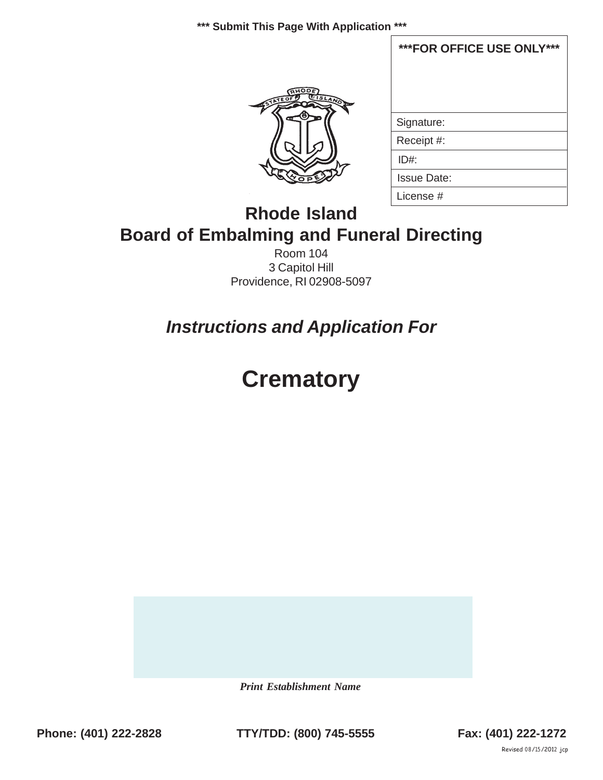**\*\*\* Submit This Page With Application \*\*\***



| ***FOR OFFICE USE ONLY*** |  |  |  |
|---------------------------|--|--|--|
|                           |  |  |  |
|                           |  |  |  |
| Signature:                |  |  |  |
| Receipt #:                |  |  |  |
| ID#                       |  |  |  |
| <b>Issue Date:</b>        |  |  |  |
| License #                 |  |  |  |

# **Rhode Island Board of Embalming and Funeral Directing**

Room 104 3 Capitol Hill Providence, RI 02908-5097

*Instructions and Application For*

# **Crematory**

 *Print Establishment Name*

Phone: (401) 222-2828 **TTY/TDD: (800) 745-5555** Fax: (401) 222-1272

Revised 08/15/2012 jcp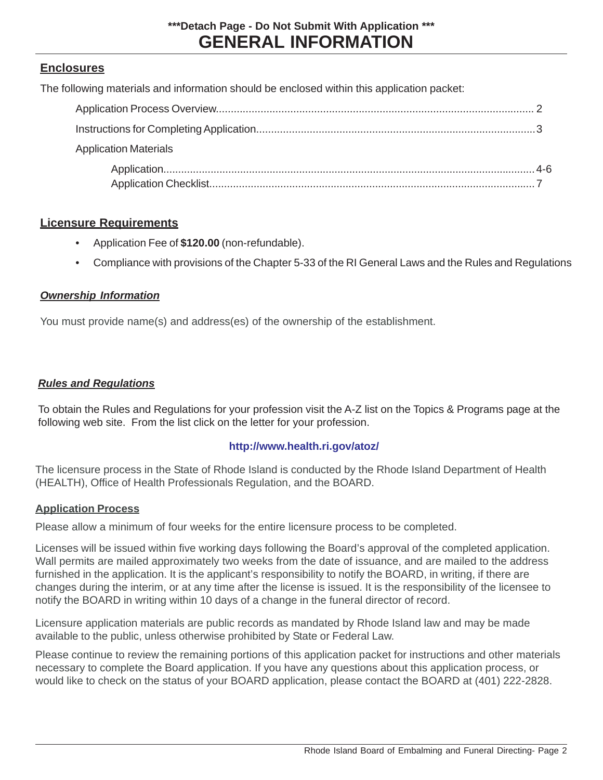### **Enclosures**

The following materials and information should be enclosed within this application packet:

| <b>Application Materials</b> |  |
|------------------------------|--|
|                              |  |

### **Licensure Requirements**

- Application Fee of **\$120.00** (non-refundable).
- Compliance with provisions of the Chapter 5-33 of the RI General Laws and the Rules and Regulations

### *Ownership Information*

You must provide name(s) and address(es) of the ownership of the establishment.

### *Rules and Regulations*

To obtain the Rules and Regulations for your profession visit the A-Z list on the Topics & Programs page at the following web site. From the list click on the letter for your profession.

### **http://www.health.ri.gov/atoz/**

The licensure process in the State of Rhode Island is conducted by the Rhode Island Department of Health (HEALTH), Office of Health Professionals Regulation, and the BOARD.

### **Application Process**

Please allow a minimum of four weeks for the entire licensure process to be completed.

Licenses will be issued within five working days following the Board's approval of the completed application. Wall permits are mailed approximately two weeks from the date of issuance, and are mailed to the address furnished in the application. It is the applicant's responsibility to notify the BOARD, in writing, if there are changes during the interim, or at any time after the license is issued. It is the responsibility of the licensee to notify the BOARD in writing within 10 days of a change in the funeral director of record.

Licensure application materials are public records as mandated by Rhode Island law and may be made available to the public, unless otherwise prohibited by State or Federal Law.

Please continue to review the remaining portions of this application packet for instructions and other materials necessary to complete the Board application. If you have any questions about this application process, or would like to check on the status of your BOARD application, please contact the BOARD at (401) 222-2828.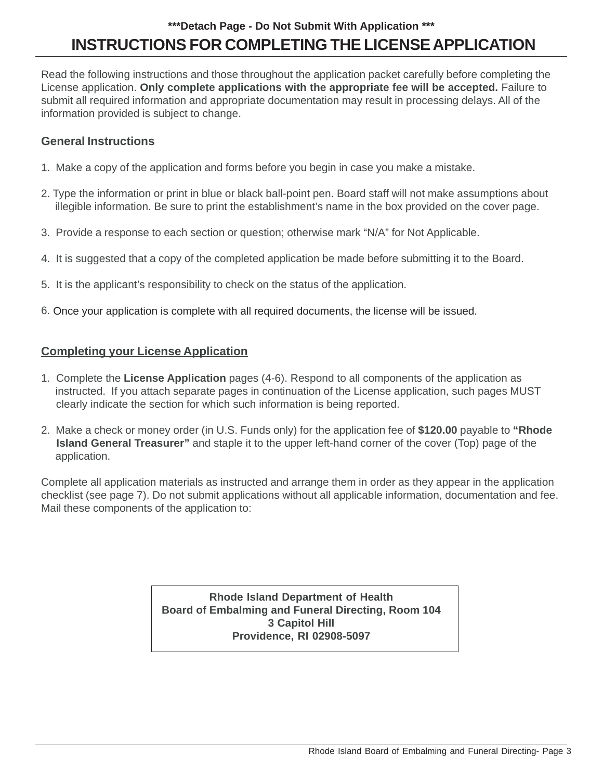### **INSTRUCTIONS FOR COMPLETING THE LICENSE APPLICATION \*\*\*Detach Page - Do Not Submit With Application \*\*\***

Read the following instructions and those throughout the application packet carefully before completing the License application. **Only complete applications with the appropriate fee will be accepted.** Failure to submit all required information and appropriate documentation may result in processing delays. All of the information provided is subject to change.

### **General Instructions**

- 1. Make a copy of the application and forms before you begin in case you make a mistake.
- 2. Type the information or print in blue or black ball-point pen. Board staff will not make assumptions about illegible information. Be sure to print the establishment's name in the box provided on the cover page.
- 3. Provide a response to each section or question; otherwise mark "N/A" for Not Applicable.
- 4. It is suggested that a copy of the completed application be made before submitting it to the Board.
- 5. It is the applicant's responsibility to check on the status of the application.
- 6. Once your application is complete with all required documents, the license will be issued.

### **Completing your License Application**

- 1. Complete the **License Application** pages (4-6). Respond to all components of the application as instructed. If you attach separate pages in continuation of the License application, such pages MUST clearly indicate the section for which such information is being reported.
- 2. Make a check or money order (in U.S. Funds only) for the application fee of **\$120.00** payable to **"Rhode Island General Treasurer"** and staple it to the upper left-hand corner of the cover (Top) page of the application.

Complete all application materials as instructed and arrange them in order as they appear in the application checklist (see page 7). Do not submit applications without all applicable information, documentation and fee. Mail these components of the application to:

> **Rhode Island Department of Health Board of Embalming and Funeral Directing, Room 104 3 Capitol Hill Providence, RI 02908-5097**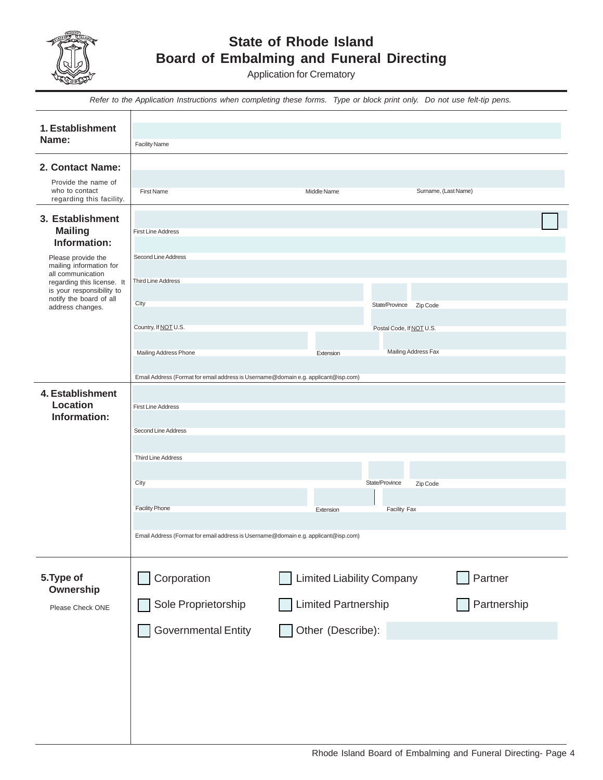

### **State of Rhode Island Board of Embalming and Funeral Directing**

Application for Crematory

|                                                                                                                             | Refer to the Application Instructions when completing these forms. Type or block print only. Do not use felt-tip pens.                                                                                                                                                                     |                                                                              |                                                   |                        |
|-----------------------------------------------------------------------------------------------------------------------------|--------------------------------------------------------------------------------------------------------------------------------------------------------------------------------------------------------------------------------------------------------------------------------------------|------------------------------------------------------------------------------|---------------------------------------------------|------------------------|
| 1. Establishment<br>Name:                                                                                                   | <b>Facility Name</b>                                                                                                                                                                                                                                                                       |                                                                              |                                                   |                        |
|                                                                                                                             |                                                                                                                                                                                                                                                                                            |                                                                              |                                                   |                        |
| 2. Contact Name:<br>Provide the name of<br>who to contact<br>regarding this facility.                                       | First Name                                                                                                                                                                                                                                                                                 | Middle Name                                                                  | Surname, (Last Name)                              |                        |
| 3. Establishment<br><b>Mailing</b><br>Information:<br>Please provide the<br>mailing information for                         | <b>First Line Address</b><br>Second Line Address                                                                                                                                                                                                                                           |                                                                              |                                                   |                        |
| all communication<br>regarding this license. It<br>is your responsibility to<br>notify the board of all<br>address changes. | <b>Third Line Address</b><br>City                                                                                                                                                                                                                                                          |                                                                              | State/Province Zip Code                           |                        |
|                                                                                                                             | Country, If NOT U.S.<br>Mailing Address Phone                                                                                                                                                                                                                                              | Extension                                                                    | Postal Code, If NOT U.S.<br>Mailing Address Fax   |                        |
| 4. Establishment<br><b>Location</b><br>Information:                                                                         | Email Address (Format for email address is Username@domain e.g. applicant@isp.com)<br><b>First Line Address</b><br>Second Line Address<br><b>Third Line Address</b><br>City<br><b>Facility Phone</b><br>Email Address (Format for email address is Username@domain e.g. applicant@isp.com) | Extension                                                                    | State/Province<br>Zip Code<br><b>Facility Fax</b> |                        |
| 5. Type of<br>Ownership<br>Please Check ONE                                                                                 | Corporation<br>Sole Proprietorship<br><b>Governmental Entity</b>                                                                                                                                                                                                                           | <b>Limited Liability Company</b><br>Limited Partnership<br>Other (Describe): |                                                   | Partner<br>Partnership |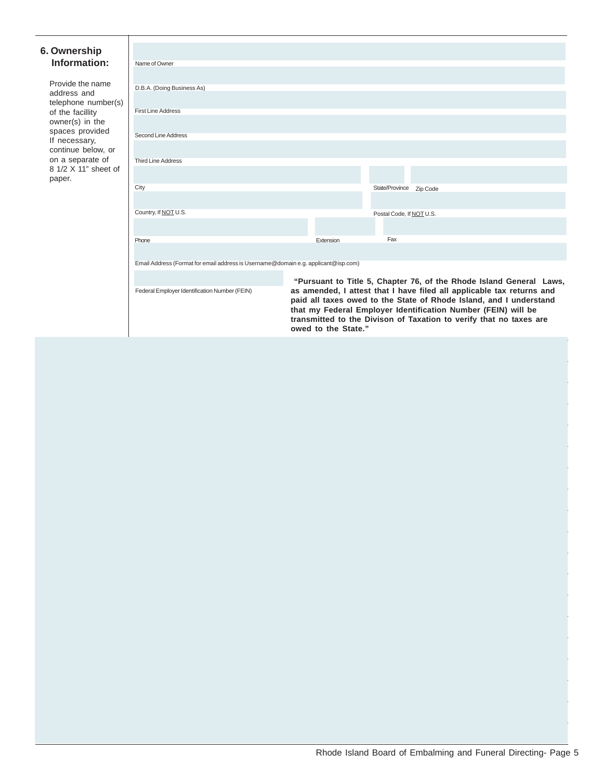#### **6. Ownership Information:**

Federal Employer Identification Number (FEIN)

| Name of Owner                                                                      |           |                                                                     |  |  |  |
|------------------------------------------------------------------------------------|-----------|---------------------------------------------------------------------|--|--|--|
|                                                                                    |           |                                                                     |  |  |  |
| D.B.A. (Doing Business As)                                                         |           |                                                                     |  |  |  |
|                                                                                    |           |                                                                     |  |  |  |
|                                                                                    |           |                                                                     |  |  |  |
| <b>First Line Address</b>                                                          |           |                                                                     |  |  |  |
|                                                                                    |           |                                                                     |  |  |  |
|                                                                                    |           |                                                                     |  |  |  |
| Second Line Address                                                                |           |                                                                     |  |  |  |
|                                                                                    |           |                                                                     |  |  |  |
| <b>Third Line Address</b>                                                          |           |                                                                     |  |  |  |
|                                                                                    |           |                                                                     |  |  |  |
|                                                                                    |           |                                                                     |  |  |  |
| City                                                                               |           | State/Province Zip Code                                             |  |  |  |
|                                                                                    |           |                                                                     |  |  |  |
|                                                                                    |           |                                                                     |  |  |  |
| Country, If NOT U.S.                                                               |           | Postal Code, If NOT U.S.                                            |  |  |  |
|                                                                                    |           |                                                                     |  |  |  |
|                                                                                    |           |                                                                     |  |  |  |
| Phone                                                                              | Extension | Fax                                                                 |  |  |  |
|                                                                                    |           |                                                                     |  |  |  |
|                                                                                    |           |                                                                     |  |  |  |
| Email Address (Format for email address is Username@domain e.g. applicant@isp.com) |           |                                                                     |  |  |  |
|                                                                                    |           |                                                                     |  |  |  |
|                                                                                    |           | "Pursuant to Title 5, Chapter 76, of the Rhode Island General Laws, |  |  |  |

**as amended, I attest that I have filed all applicable tax returns and paid all taxes owed to the State of Rhode Island, and I understand that my Federal Employer Identification Number (FEIN) will be transmitted to the Divison of Taxation to verify that no taxes are owed to the State."**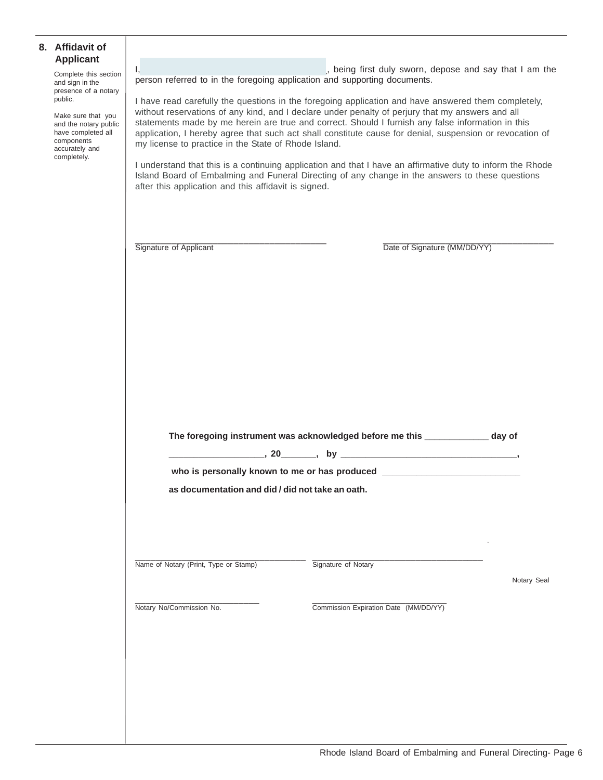#### **8. Affidavit of Applicant**

Complete this section and sign in the presence of a notary public.

Make sure that you and the notary public have completed all components accurately and completely.

I, the contract of the contract of the contract of the contract of the contract of the contract of the contract of the contract of the contract of the contract of the contract of the contract of the contract of the contrac person referred to in the foregoing application and supporting documents.

I have read carefully the questions in the foregoing application and have answered them completely, without reservations of any kind, and I declare under penalty of perjury that my answers and all statements made by me herein are true and correct. Should I furnish any false information in this application, I hereby agree that such act shall constitute cause for denial, suspension or revocation of my license to practice in the State of Rhode Island.

I understand that this is a continuing application and that I have an affirmative duty to inform the Rhode Island Board of Embalming and Funeral Directing of any change in the answers to these questions after this application and this affidavit is signed.

\_\_\_\_\_\_\_\_\_\_\_\_\_\_\_\_\_\_\_\_\_\_\_\_\_\_\_\_\_\_\_\_\_\_\_\_\_ \_\_\_\_\_\_\_\_\_\_\_\_\_\_\_\_\_\_\_\_\_\_\_\_\_\_\_\_\_\_\_\_\_ Signature of Applicant **Date of Signature (MM/DD/YY)** 

| The foregoing instrument was acknowledged before me this | day of |  |
|----------------------------------------------------------|--------|--|
|                                                          |        |  |

who is personally known to me or has produced \_

**as documentation and did / did not take an oath.**

\_\_\_\_\_\_\_\_\_\_\_\_\_\_\_\_\_\_\_\_\_\_\_\_\_\_\_\_\_\_\_\_\_ \_\_\_\_\_\_\_\_\_\_\_\_\_\_\_\_\_\_\_\_\_\_\_\_\_\_\_\_\_\_\_\_\_ Name of Notary (Print, Type or Stamp) Signature of Notary

Notary Seal

\_\_\_\_\_\_\_\_\_\_\_\_\_\_\_\_\_\_\_\_\_\_\_\_ \_\_\_\_\_\_\_\_\_\_\_\_\_\_\_\_\_\_\_\_\_\_\_\_\_\_

Notary No/Commission No. Commission Expiration Date (MM/DD/YY)